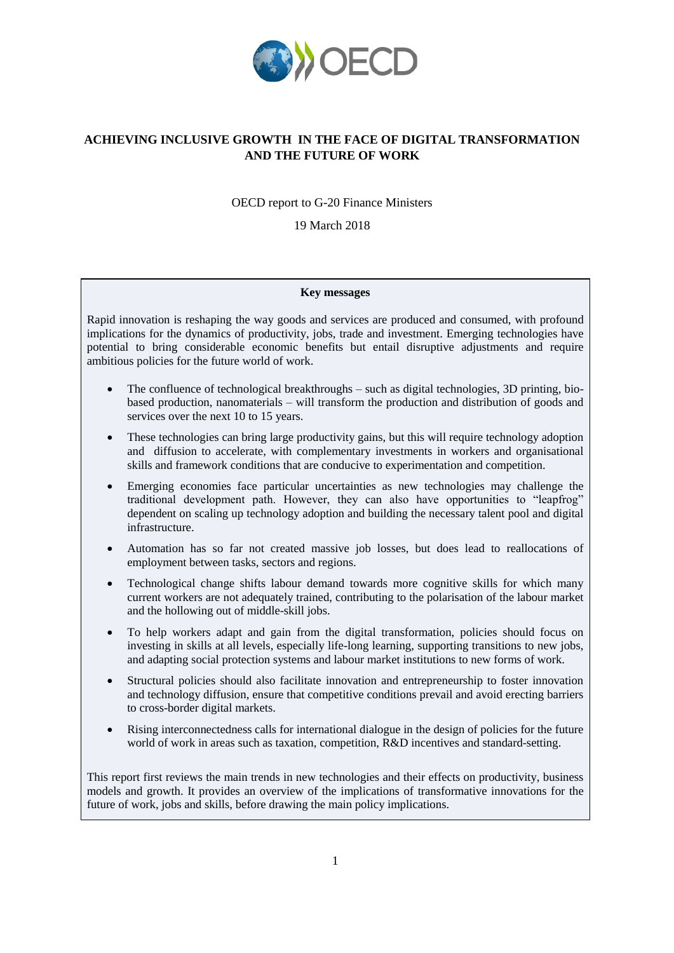

# **ACHIEVING INCLUSIVE GROWTH IN THE FACE OF DIGITAL TRANSFORMATION AND THE FUTURE OF WORK**

OECD report to G-20 Finance Ministers

19 March 2018

## **Key messages**

Rapid innovation is reshaping the way goods and services are produced and consumed, with profound implications for the dynamics of productivity, jobs, trade and investment. Emerging technologies have potential to bring considerable economic benefits but entail disruptive adjustments and require ambitious policies for the future world of work.

- The confluence of technological breakthroughs such as digital technologies, 3D printing, biobased production, nanomaterials – will transform the production and distribution of goods and services over the next 10 to 15 years.
- These technologies can bring large productivity gains, but this will require technology adoption and diffusion to accelerate, with complementary investments in workers and organisational skills and framework conditions that are conducive to experimentation and competition.
- Emerging economies face particular uncertainties as new technologies may challenge the traditional development path. However, they can also have opportunities to "leapfrog" dependent on scaling up technology adoption and building the necessary talent pool and digital infrastructure.
- Automation has so far not created massive job losses, but does lead to reallocations of employment between tasks, sectors and regions.
- Technological change shifts labour demand towards more cognitive skills for which many current workers are not adequately trained, contributing to the polarisation of the labour market and the hollowing out of middle-skill jobs.
- To help workers adapt and gain from the digital transformation, policies should focus on investing in skills at all levels, especially life-long learning, supporting transitions to new jobs, and adapting social protection systems and labour market institutions to new forms of work.
- Structural policies should also facilitate innovation and entrepreneurship to foster innovation and technology diffusion, ensure that competitive conditions prevail and avoid erecting barriers to cross-border digital markets.
- Rising interconnectedness calls for international dialogue in the design of policies for the future world of work in areas such as taxation, competition, R&D incentives and standard-setting.

This report first reviews the main trends in new technologies and their effects on productivity, business models and growth. It provides an overview of the implications of transformative innovations for the future of work, jobs and skills, before drawing the main policy implications.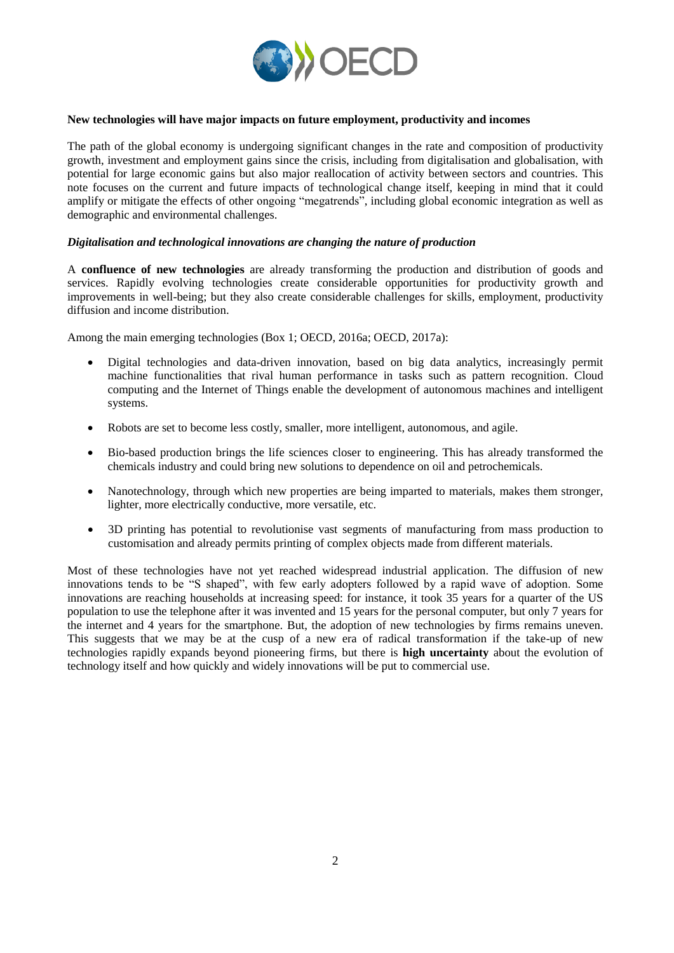

## **New technologies will have major impacts on future employment, productivity and incomes**

The path of the global economy is undergoing significant changes in the rate and composition of productivity growth, investment and employment gains since the crisis, including from digitalisation and globalisation, with potential for large economic gains but also major reallocation of activity between sectors and countries. This note focuses on the current and future impacts of technological change itself, keeping in mind that it could amplify or mitigate the effects of other ongoing "megatrends", including global economic integration as well as demographic and environmental challenges.

## *Digitalisation and technological innovations are changing the nature of production*

A **confluence of new technologies** are already transforming the production and distribution of goods and services. Rapidly evolving technologies create considerable opportunities for productivity growth and improvements in well-being; but they also create considerable challenges for skills, employment, productivity diffusion and income distribution.

Among the main emerging technologies (Box 1; OECD, 2016a; OECD, 2017a):

- Digital technologies and data-driven innovation, based on big data analytics, increasingly permit machine functionalities that rival human performance in tasks such as pattern recognition. Cloud computing and the Internet of Things enable the development of autonomous machines and intelligent systems.
- Robots are set to become less costly, smaller, more intelligent, autonomous, and agile.
- Bio-based production brings the life sciences closer to engineering. This has already transformed the chemicals industry and could bring new solutions to dependence on oil and petrochemicals.
- Nanotechnology, through which new properties are being imparted to materials, makes them stronger, lighter, more electrically conductive, more versatile, etc.
- 3D printing has potential to revolutionise vast segments of manufacturing from mass production to customisation and already permits printing of complex objects made from different materials.

Most of these technologies have not yet reached widespread industrial application. The diffusion of new innovations tends to be "S shaped", with few early adopters followed by a rapid wave of adoption. Some innovations are reaching households at increasing speed: for instance, it took 35 years for a quarter of the US population to use the telephone after it was invented and 15 years for the personal computer, but only 7 years for the internet and 4 years for the smartphone. But, the adoption of new technologies by firms remains uneven. This suggests that we may be at the cusp of a new era of radical transformation if the take-up of new technologies rapidly expands beyond pioneering firms, but there is **high uncertainty** about the evolution of technology itself and how quickly and widely innovations will be put to commercial use.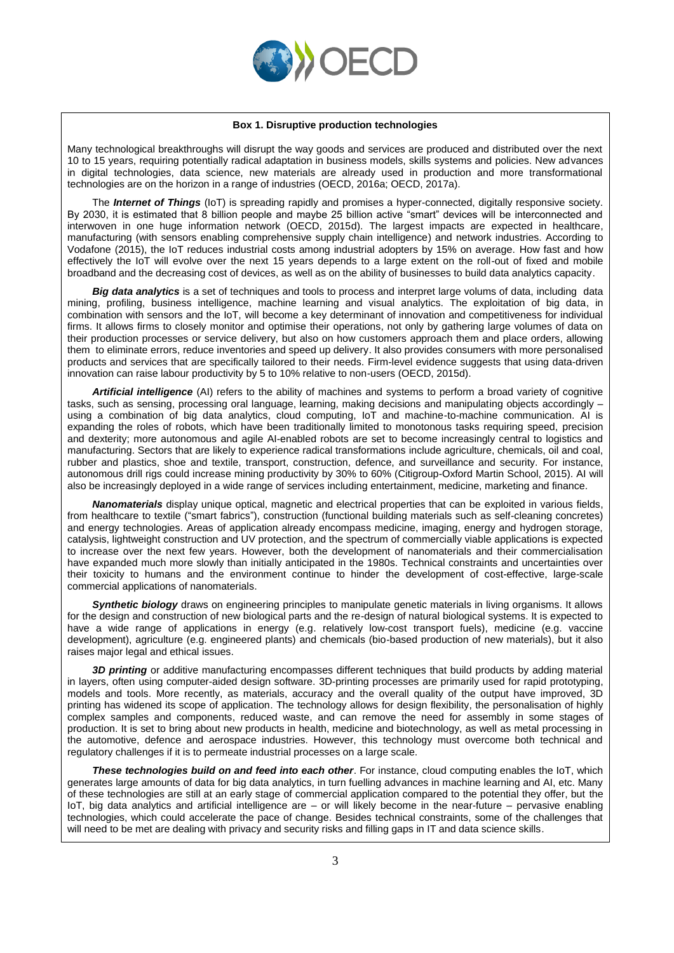

#### **Box 1. Disruptive production technologies**

Many technological breakthroughs will disrupt the way goods and services are produced and distributed over the next 10 to 15 years, requiring potentially radical adaptation in business models, skills systems and policies. New advances in digital technologies, data science, new materials are already used in production and more transformational technologies are on the horizon in a range of industries (OECD, 2016a; OECD, 2017a).

The *Internet of Things* (IoT) is spreading rapidly and promises a hyper-connected, digitally responsive society. By 2030, it is estimated that 8 billion people and maybe 25 billion active "smart" devices will be interconnected and interwoven in one huge information network (OECD, 2015d). The largest impacts are expected in healthcare, manufacturing (with sensors enabling comprehensive supply chain intelligence) and network industries. According to Vodafone (2015), the IoT reduces industrial costs among industrial adopters by 15% on average. How fast and how effectively the IoT will evolve over the next 15 years depends to a large extent on the roll-out of fixed and mobile broadband and the decreasing cost of devices, as well as on the ability of businesses to build data analytics capacity.

*Big data analytics* is a set of techniques and tools to process and interpret large volums of data, including data mining, profiling, business intelligence, machine learning and visual analytics. The exploitation of big data, in combination with sensors and the IoT, will become a key determinant of innovation and competitiveness for individual firms. It allows firms to closely monitor and optimise their operations, not only by gathering large volumes of data on their production processes or service delivery, but also on how customers approach them and place orders, allowing them to eliminate errors, reduce inventories and speed up delivery. It also provides consumers with more personalised products and services that are specifically tailored to their needs. Firm-level evidence suggests that using data-driven innovation can raise labour productivity by 5 to 10% relative to non-users (OECD, 2015d).

*Artificial intelligence* (AI) refers to the ability of machines and systems to perform a broad variety of cognitive tasks, such as sensing, processing oral language, learning, making decisions and manipulating objects accordingly – using a combination of big data analytics, cloud computing, IoT and machine-to-machine communication. AI is expanding the roles of robots, which have been traditionally limited to monotonous tasks requiring speed, precision and dexterity; more autonomous and agile AI-enabled robots are set to become increasingly central to logistics and manufacturing. Sectors that are likely to experience radical transformations include agriculture, chemicals, oil and coal, rubber and plastics, shoe and textile, transport, construction, defence, and surveillance and security. For instance, autonomous drill rigs could increase mining productivity by 30% to 60% (Citigroup-Oxford Martin School, 2015). AI will also be increasingly deployed in a wide range of services including entertainment, medicine, marketing and finance.

*Nanomaterials* display unique optical, magnetic and electrical properties that can be exploited in various fields, from healthcare to textile ("smart fabrics"), construction (functional building materials such as self-cleaning concretes) and energy technologies. Areas of application already encompass medicine, imaging, energy and hydrogen storage, catalysis, lightweight construction and UV protection, and the spectrum of commercially viable applications is expected to increase over the next few years. However, both the development of nanomaterials and their commercialisation have expanded much more slowly than initially anticipated in the 1980s. Technical constraints and uncertainties over their toxicity to humans and the environment continue to hinder the development of cost-effective, large-scale commercial applications of nanomaterials.

*Synthetic biology* draws on engineering principles to manipulate genetic materials in living organisms. It allows for the design and construction of new biological parts and the re-design of natural biological systems. It is expected to have a wide range of applications in energy (e.g. relatively low-cost transport fuels), medicine (e.g. vaccine development), agriculture (e.g. engineered plants) and chemicals (bio-based production of new materials), but it also raises major legal and ethical issues.

*3D printing* or additive manufacturing encompasses different techniques that build products by adding material in layers, often using computer-aided design software. 3D-printing processes are primarily used for rapid prototyping, models and tools. More recently, as materials, accuracy and the overall quality of the output have improved, 3D printing has widened its scope of application. The technology allows for design flexibility, the personalisation of highly complex samples and components, reduced waste, and can remove the need for assembly in some stages of production. It is set to bring about new products in health, medicine and biotechnology, as well as metal processing in the automotive, defence and aerospace industries. However, this technology must overcome both technical and regulatory challenges if it is to permeate industrial processes on a large scale.

*These technologies build on and feed into each other*. For instance, cloud computing enables the IoT, which generates large amounts of data for big data analytics, in turn fuelling advances in machine learning and AI, etc. Many of these technologies are still at an early stage of commercial application compared to the potential they offer, but the IoT, big data analytics and artificial intelligence are – or will likely become in the near-future – pervasive enabling technologies, which could accelerate the pace of change. Besides technical constraints, some of the challenges that will need to be met are dealing with privacy and security risks and filling gaps in IT and data science skills.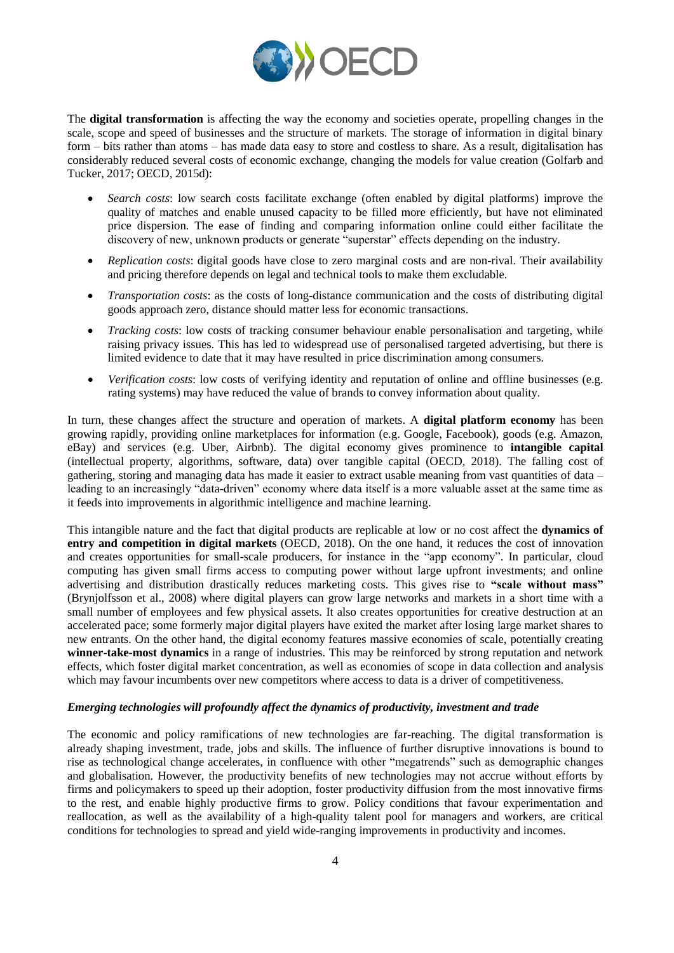

The **digital transformation** is affecting the way the economy and societies operate, propelling changes in the scale, scope and speed of businesses and the structure of markets. The storage of information in digital binary form – bits rather than atoms – has made data easy to store and costless to share. As a result, digitalisation has considerably reduced several costs of economic exchange, changing the models for value creation (Golfarb and Tucker, 2017; OECD, 2015d):

- *Search costs*: low search costs facilitate exchange (often enabled by digital platforms) improve the quality of matches and enable unused capacity to be filled more efficiently, but have not eliminated price dispersion. The ease of finding and comparing information online could either facilitate the discovery of new, unknown products or generate "superstar" effects depending on the industry.
- *Replication costs*: digital goods have close to zero marginal costs and are non-rival. Their availability and pricing therefore depends on legal and technical tools to make them excludable.
- *Transportation costs*: as the costs of long-distance communication and the costs of distributing digital goods approach zero, distance should matter less for economic transactions.
- *Tracking costs*: low costs of tracking consumer behaviour enable personalisation and targeting, while raising privacy issues. This has led to widespread use of personalised targeted advertising, but there is limited evidence to date that it may have resulted in price discrimination among consumers.
- *Verification costs*: low costs of verifying identity and reputation of online and offline businesses (e.g. rating systems) may have reduced the value of brands to convey information about quality.

In turn, these changes affect the structure and operation of markets. A **digital platform economy** has been growing rapidly, providing online marketplaces for information (e.g. Google, Facebook), goods (e.g. Amazon, eBay) and services (e.g. Uber, Airbnb). The digital economy gives prominence to **intangible capital** (intellectual property, algorithms, software, data) over tangible capital (OECD, 2018). The falling cost of gathering, storing and managing data has made it easier to extract usable meaning from vast quantities of data – leading to an increasingly "data-driven" economy where data itself is a more valuable asset at the same time as it feeds into improvements in algorithmic intelligence and machine learning.

This intangible nature and the fact that digital products are replicable at low or no cost affect the **dynamics of entry and competition in digital markets** (OECD, 2018). On the one hand, it reduces the cost of innovation and creates opportunities for small-scale producers, for instance in the "app economy". In particular, cloud computing has given small firms access to computing power without large upfront investments; and online advertising and distribution drastically reduces marketing costs. This gives rise to **"scale without mass"** (Brynjolfsson et al., 2008) where digital players can grow large networks and markets in a short time with a small number of employees and few physical assets. It also creates opportunities for creative destruction at an accelerated pace; some formerly major digital players have exited the market after losing large market shares to new entrants. On the other hand, the digital economy features massive economies of scale, potentially creating **winner-take-most dynamics** in a range of industries. This may be reinforced by strong reputation and network effects, which foster digital market concentration, as well as economies of scope in data collection and analysis which may favour incumbents over new competitors where access to data is a driver of competitiveness.

## *Emerging technologies will profoundly affect the dynamics of productivity, investment and trade*

The economic and policy ramifications of new technologies are far-reaching. The digital transformation is already shaping investment, trade, jobs and skills. The influence of further disruptive innovations is bound to rise as technological change accelerates, in confluence with other "megatrends" such as demographic changes and globalisation. However, the productivity benefits of new technologies may not accrue without efforts by firms and policymakers to speed up their adoption, foster productivity diffusion from the most innovative firms to the rest, and enable highly productive firms to grow. Policy conditions that favour experimentation and reallocation, as well as the availability of a high-quality talent pool for managers and workers, are critical conditions for technologies to spread and yield wide-ranging improvements in productivity and incomes.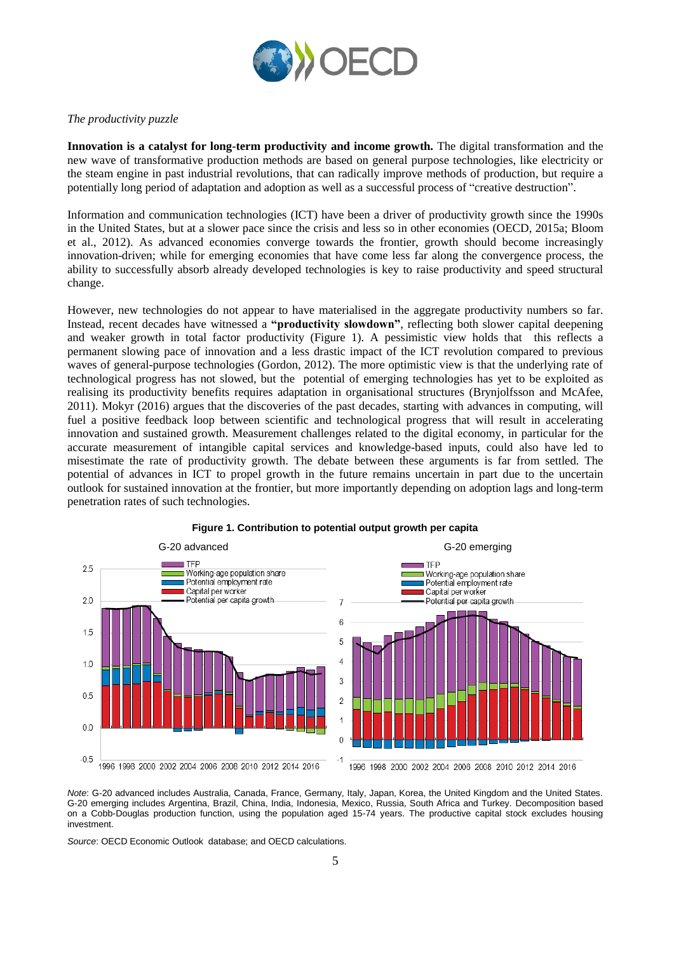

## *The productivity puzzle*

**Innovation is a catalyst for long-term productivity and income growth.** The digital transformation and the new wave of transformative production methods are based on general purpose technologies, like electricity or the steam engine in past industrial revolutions, that can radically improve methods of production, but require a potentially long period of adaptation and adoption as well as a successful process of "creative destruction".

Information and communication technologies (ICT) have been a driver of productivity growth since the 1990s in the United States, but at a slower pace since the crisis and less so in other economies (OECD, 2015a; Bloom et al., 2012). As advanced economies converge towards the frontier, growth should become increasingly innovation-driven; while for emerging economies that have come less far along the convergence process, the ability to successfully absorb already developed technologies is key to raise productivity and speed structural change.

However, new technologies do not appear to have materialised in the aggregate productivity numbers so far. Instead, recent decades have witnessed a **"productivity slowdown"**, reflecting both slower capital deepening and weaker growth in total factor productivity (Figure 1). A pessimistic view holds that this reflects a permanent slowing pace of innovation and a less drastic impact of the ICT revolution compared to previous waves of general-purpose technologies (Gordon, 2012). The more optimistic view is that the underlying rate of technological progress has not slowed, but the potential of emerging technologies has yet to be exploited as realising its productivity benefits requires adaptation in organisational structures (Brynjolfsson and McAfee, 2011). Mokyr (2016) argues that the discoveries of the past decades, starting with advances in computing, will fuel a positive feedback loop between scientific and technological progress that will result in accelerating innovation and sustained growth. Measurement challenges related to the digital economy, in particular for the accurate measurement of intangible capital services and knowledge-based inputs, could also have led to misestimate the rate of productivity growth. The debate between these arguments is far from settled. The potential of advances in ICT to propel growth in the future remains uncertain in part due to the uncertain outlook for sustained innovation at the frontier, but more importantly depending on adoption lags and long-term penetration rates of such technologies.



#### **Figure 1. Contribution to potential output growth per capita**

*Note*: G-20 advanced includes Australia, Canada, France, Germany, Italy, Japan, Korea, the United Kingdom and the United States. G-20 emerging includes Argentina, Brazil, China, India, Indonesia, Mexico, Russia, South Africa and Turkey. Decomposition based on a Cobb-Douglas production function, using the population aged 15-74 years. The productive capital stock excludes housing investment.

*Source*: OECD Economic Outlook database; and OECD calculations.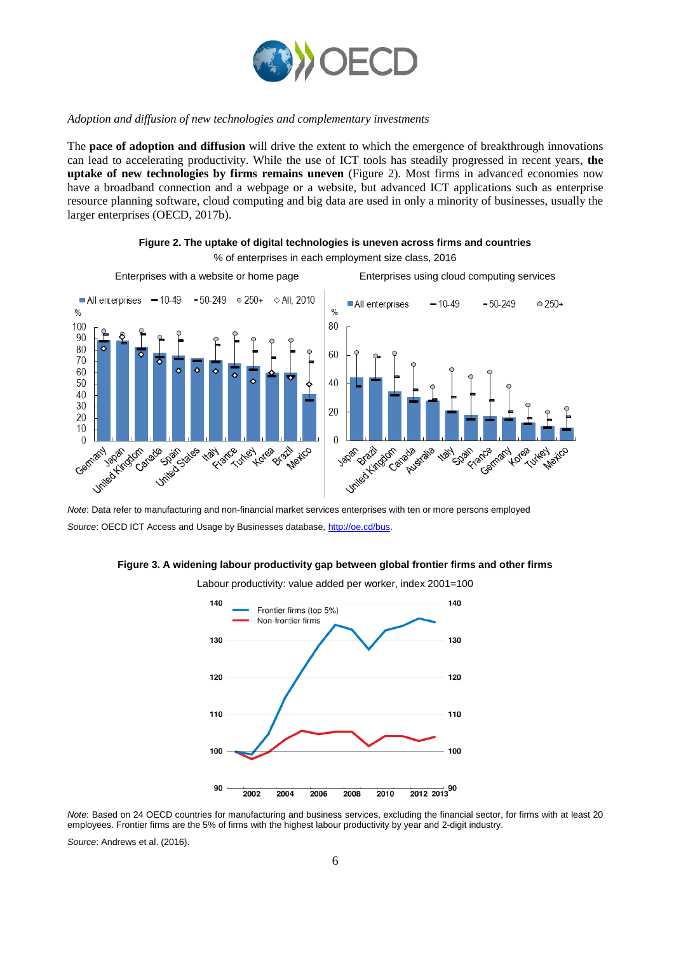

## *Adoption and diffusion of new technologies and complementary investments*

The **pace of adoption and diffusion** will drive the extent to which the emergence of breakthrough innovations can lead to accelerating productivity. While the use of ICT tools has steadily progressed in recent years, **the uptake of new technologies by firms remains uneven** (Figure 2). Most firms in advanced economies now have a broadband connection and a webpage or a website, but advanced ICT applications such as enterprise resource planning software, cloud computing and big data are used in only a minority of businesses, usually the larger enterprises (OECD, 2017b).



**Figure 2. The uptake of digital technologies is uneven across firms and countries** % of enterprises in each employment size class, 2016

*Note*: Data refer to manufacturing and non-financial market services enterprises with ten or more persons employed Source: OECD ICT Access and Usage by Businesses database, [http://oe.cd/bus.](http://oe.cd/bus)





Labour productivity: value added per worker, index 2001=100

*Note*: Based on 24 OECD countries for manufacturing and business services, excluding the financial sector, for firms with at least 20 employees. Frontier firms are the 5% of firms with the highest labour productivity by year and 2-digit industry.

*Source*: Andrews et al. (2016).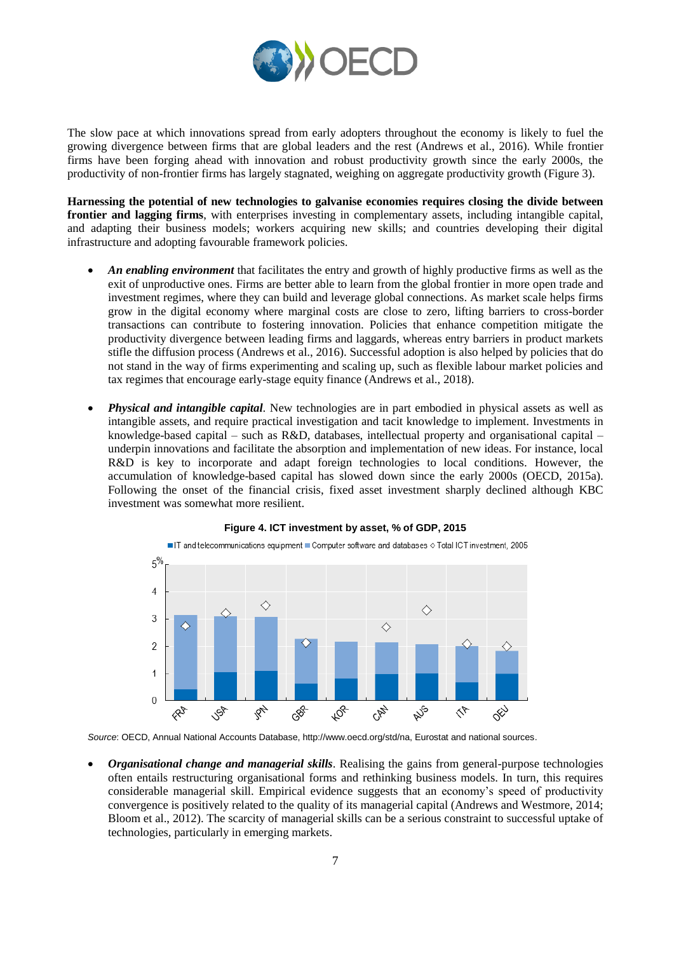

The slow pace at which innovations spread from early adopters throughout the economy is likely to fuel the growing divergence between firms that are global leaders and the rest (Andrews et al., 2016). While frontier firms have been forging ahead with innovation and robust productivity growth since the early 2000s, the productivity of non-frontier firms has largely stagnated, weighing on aggregate productivity growth (Figure 3).

**Harnessing the potential of new technologies to galvanise economies requires closing the divide between frontier and lagging firms**, with enterprises investing in complementary assets, including intangible capital, and adapting their business models; workers acquiring new skills; and countries developing their digital infrastructure and adopting favourable framework policies.

- *An enabling environment* that facilitates the entry and growth of highly productive firms as well as the exit of unproductive ones. Firms are better able to learn from the global frontier in more open trade and investment regimes, where they can build and leverage global connections. As market scale helps firms grow in the digital economy where marginal costs are close to zero, lifting barriers to cross-border transactions can contribute to fostering innovation. Policies that enhance competition mitigate the productivity divergence between leading firms and laggards, whereas entry barriers in product markets stifle the diffusion process (Andrews et al., 2016). Successful adoption is also helped by policies that do not stand in the way of firms experimenting and scaling up, such as flexible labour market policies and tax regimes that encourage early-stage equity finance (Andrews et al., 2018).
- *Physical and intangible capital*. New technologies are in part embodied in physical assets as well as intangible assets, and require practical investigation and tacit knowledge to implement. Investments in knowledge-based capital – such as R&D, databases, intellectual property and organisational capital – underpin innovations and facilitate the absorption and implementation of new ideas. For instance, local R&D is key to incorporate and adapt foreign technologies to local conditions. However, the accumulation of knowledge-based capital has slowed down since the early 2000s (OECD, 2015a). Following the onset of the financial crisis, fixed asset investment sharply declined although KBC investment was somewhat more resilient.



## **Figure 4. ICT investment by asset, % of GDP, 2015**

*Source*: OECD, Annual National Accounts Database, http://www.oecd.org/std/na, Eurostat and national sources.

 *Organisational change and managerial skills*. Realising the gains from general-purpose technologies often entails restructuring organisational forms and rethinking business models. In turn, this requires considerable managerial skill. Empirical evidence suggests that an economy's speed of productivity convergence is positively related to the quality of its managerial capital (Andrews and Westmore, 2014; Bloom et al., 2012). The scarcity of managerial skills can be a serious constraint to successful uptake of technologies, particularly in emerging markets.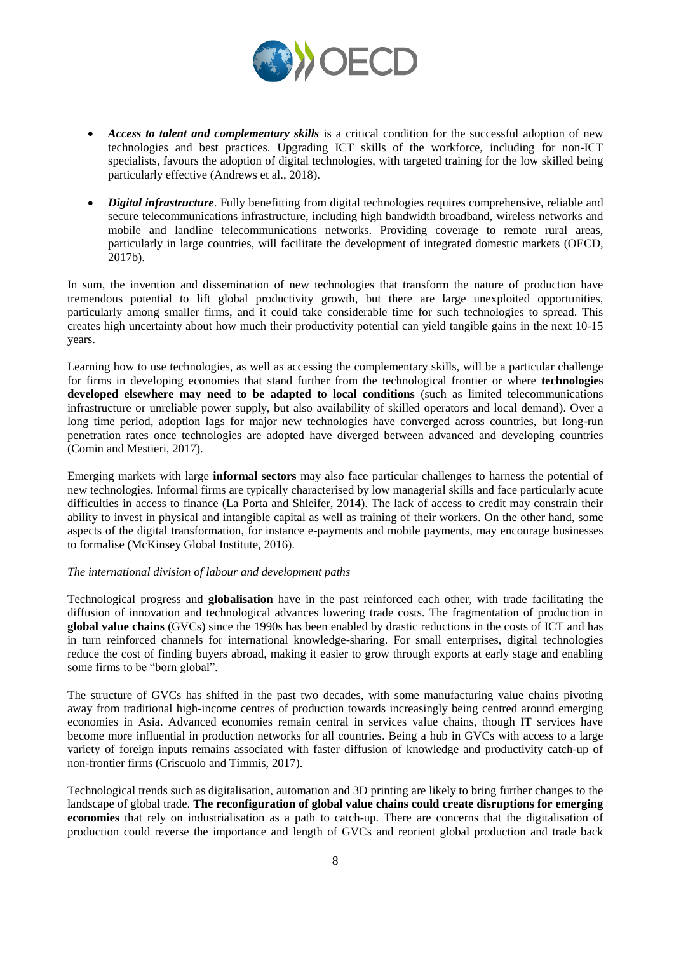

- *Access to talent and complementary skills* is a critical condition for the successful adoption of new technologies and best practices. Upgrading ICT skills of the workforce, including for non-ICT specialists, favours the adoption of digital technologies, with targeted training for the low skilled being particularly effective (Andrews et al., 2018).
- *Digital infrastructure*. Fully benefitting from digital technologies requires comprehensive, reliable and secure telecommunications infrastructure, including high bandwidth broadband, wireless networks and mobile and landline telecommunications networks. Providing coverage to remote rural areas, particularly in large countries, will facilitate the development of integrated domestic markets (OECD, 2017b).

In sum, the invention and dissemination of new technologies that transform the nature of production have tremendous potential to lift global productivity growth, but there are large unexploited opportunities, particularly among smaller firms, and it could take considerable time for such technologies to spread. This creates high uncertainty about how much their productivity potential can yield tangible gains in the next 10-15 years.

Learning how to use technologies, as well as accessing the complementary skills, will be a particular challenge for firms in developing economies that stand further from the technological frontier or where **technologies developed elsewhere may need to be adapted to local conditions** (such as limited telecommunications infrastructure or unreliable power supply, but also availability of skilled operators and local demand). Over a long time period, adoption lags for major new technologies have converged across countries, but long-run penetration rates once technologies are adopted have diverged between advanced and developing countries (Comin and Mestieri, 2017).

Emerging markets with large **informal sectors** may also face particular challenges to harness the potential of new technologies. Informal firms are typically characterised by low managerial skills and face particularly acute difficulties in access to finance (La Porta and Shleifer, 2014). The lack of access to credit may constrain their ability to invest in physical and intangible capital as well as training of their workers. On the other hand, some aspects of the digital transformation, for instance e-payments and mobile payments, may encourage businesses to formalise (McKinsey Global Institute, 2016).

## *The international division of labour and development paths*

Technological progress and **globalisation** have in the past reinforced each other, with trade facilitating the diffusion of innovation and technological advances lowering trade costs. The fragmentation of production in **global value chains** (GVCs) since the 1990s has been enabled by drastic reductions in the costs of ICT and has in turn reinforced channels for international knowledge-sharing. For small enterprises, digital technologies reduce the cost of finding buyers abroad, making it easier to grow through exports at early stage and enabling some firms to be "born global".

The structure of GVCs has shifted in the past two decades, with some manufacturing value chains pivoting away from traditional high-income centres of production towards increasingly being centred around emerging economies in Asia. Advanced economies remain central in services value chains, though IT services have become more influential in production networks for all countries. Being a hub in GVCs with access to a large variety of foreign inputs remains associated with faster diffusion of knowledge and productivity catch-up of non-frontier firms (Criscuolo and Timmis, 2017).

Technological trends such as digitalisation, automation and 3D printing are likely to bring further changes to the landscape of global trade. **The reconfiguration of global value chains could create disruptions for emerging economies** that rely on industrialisation as a path to catch-up. There are concerns that the digitalisation of production could reverse the importance and length of GVCs and reorient global production and trade back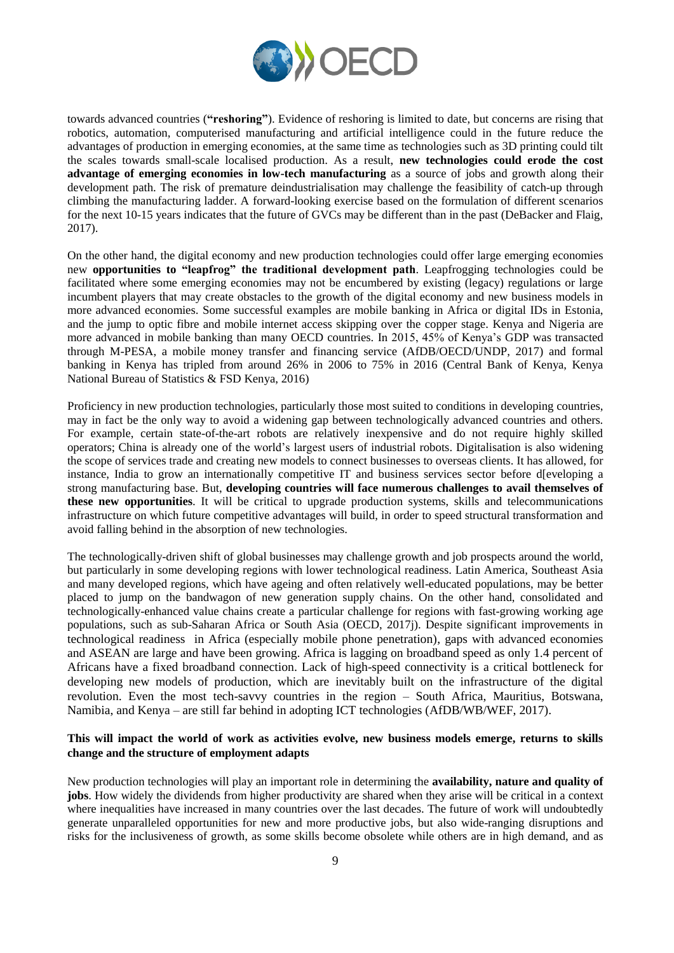

towards advanced countries (**"reshoring"**). Evidence of reshoring is limited to date, but concerns are rising that robotics, automation, computerised manufacturing and artificial intelligence could in the future reduce the advantages of production in emerging economies, at the same time as technologies such as 3D printing could tilt the scales towards small-scale localised production. As a result, **new technologies could erode the cost advantage of emerging economies in low-tech manufacturing** as a source of jobs and growth along their development path. The risk of premature deindustrialisation may challenge the feasibility of catch-up through climbing the manufacturing ladder. A forward-looking exercise based on the formulation of different scenarios for the next 10-15 years indicates that the future of GVCs may be different than in the past (DeBacker and Flaig, 2017).

On the other hand, the digital economy and new production technologies could offer large emerging economies new **opportunities to "leapfrog" the traditional development path**. Leapfrogging technologies could be facilitated where some emerging economies may not be encumbered by existing (legacy) regulations or large incumbent players that may create obstacles to the growth of the digital economy and new business models in more advanced economies. Some successful examples are mobile banking in Africa or digital IDs in Estonia, and the jump to optic fibre and mobile internet access skipping over the copper stage. Kenya and Nigeria are more advanced in mobile banking than many OECD countries. In 2015, 45% of Kenya's GDP was transacted through M-PESA, a mobile money transfer and financing service (AfDB/OECD/UNDP, 2017) and formal banking in Kenya has tripled from around 26% in 2006 to 75% in 2016 (Central Bank of Kenya, Kenya National Bureau of Statistics & FSD Kenya, 2016)

Proficiency in new production technologies, particularly those most suited to conditions in developing countries, may in fact be the only way to avoid a widening gap between technologically advanced countries and others. For example, certain state-of-the-art robots are relatively inexpensive and do not require highly skilled operators; China is already one of the world's largest users of industrial robots. Digitalisation is also widening the scope of services trade and creating new models to connect businesses to overseas clients. It has allowed, for instance, India to grow an internationally competitive IT and business services sector before d[eveloping a strong manufacturing base. But, **developing countries will face numerous challenges to avail themselves of these new opportunities**. It will be critical to upgrade production systems, skills and telecommunications infrastructure on which future competitive advantages will build, in order to speed structural transformation and avoid falling behind in the absorption of new technologies.

The technologically-driven shift of global businesses may challenge growth and job prospects around the world, but particularly in some developing regions with lower technological readiness. Latin America, Southeast Asia and many developed regions, which have ageing and often relatively well-educated populations, may be better placed to jump on the bandwagon of new generation supply chains. On the other hand, consolidated and technologically-enhanced value chains create a particular challenge for regions with fast-growing working age populations, such as sub-Saharan Africa or South Asia (OECD, 2017j). Despite significant improvements in technological readiness in Africa (especially mobile phone penetration), gaps with advanced economies and ASEAN are large and have been growing. Africa is lagging on broadband speed as only 1.4 percent of Africans have a fixed broadband connection. Lack of high-speed connectivity is a critical bottleneck for developing new models of production, which are inevitably built on the infrastructure of the digital revolution. Even the most tech-savvy countries in the region – South Africa, Mauritius, Botswana, Namibia, and Kenya – are still far behind in adopting ICT technologies (AfDB/WB/WEF, 2017).

## **This will impact the world of work as activities evolve, new business models emerge, returns to skills change and the structure of employment adapts**

New production technologies will play an important role in determining the **availability, nature and quality of jobs**. How widely the dividends from higher productivity are shared when they arise will be critical in a context where inequalities have increased in many countries over the last decades. The future of work will undoubtedly generate unparalleled opportunities for new and more productive jobs, but also wide-ranging disruptions and risks for the inclusiveness of growth, as some skills become obsolete while others are in high demand, and as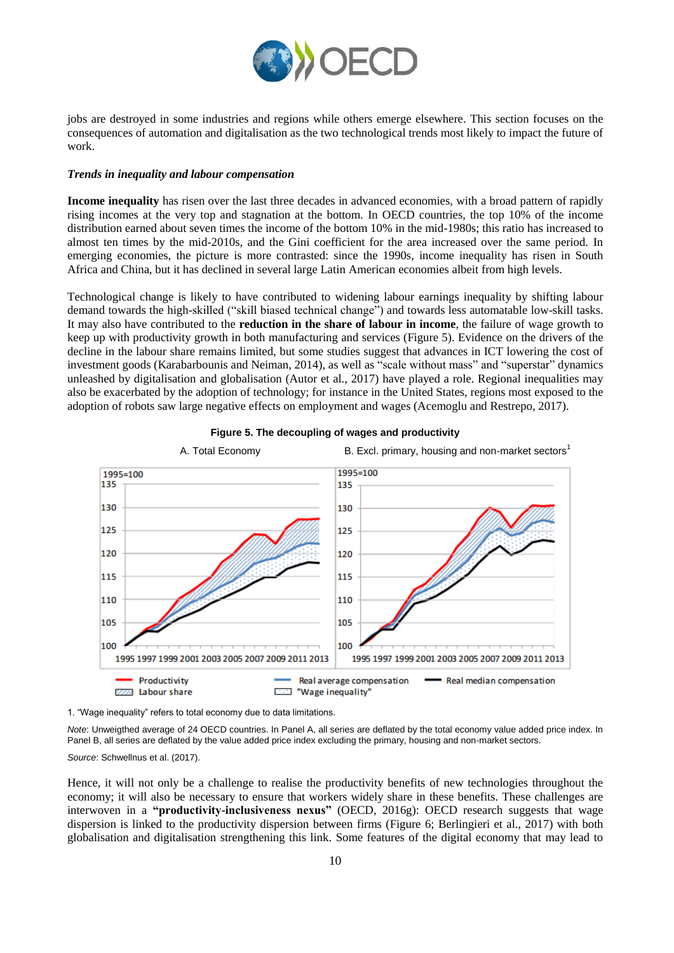

jobs are destroyed in some industries and regions while others emerge elsewhere. This section focuses on the consequences of automation and digitalisation as the two technological trends most likely to impact the future of work.

## *Trends in inequality and labour compensation*

**Income inequality** has risen over the last three decades in advanced economies, with a broad pattern of rapidly rising incomes at the very top and stagnation at the bottom. In OECD countries, the top 10% of the income distribution earned about seven times the income of the bottom 10% in the mid-1980s; this ratio has increased to almost ten times by the mid-2010s, and the Gini coefficient for the area increased over the same period. In emerging economies, the picture is more contrasted: since the 1990s, income inequality has risen in South Africa and China, but it has declined in several large Latin American economies albeit from high levels.

Technological change is likely to have contributed to widening labour earnings inequality by shifting labour demand towards the high-skilled ("skill biased technical change") and towards less automatable low-skill tasks. It may also have contributed to the **reduction in the share of labour in income**, the failure of wage growth to keep up with productivity growth in both manufacturing and services (Figure 5). Evidence on the drivers of the decline in the labour share remains limited, but some studies suggest that advances in ICT lowering the cost of investment goods (Karabarbounis and Neiman, 2014), as well as "scale without mass" and "superstar" dynamics unleashed by digitalisation and globalisation (Autor et al., 2017) have played a role. Regional inequalities may also be exacerbated by the adoption of technology; for instance in the United States, regions most exposed to the adoption of robots saw large negative effects on employment and wages (Acemoglu and Restrepo, 2017).



**Figure 5. The decoupling of wages and productivity**

1. "Wage inequality" refers to total economy due to data limitations.

*Note*: Unweigthed average of 24 OECD countries. In Panel A, all series are deflated by the total economy value added price index. In Panel B, all series are deflated by the value added price index excluding the primary, housing and non-market sectors.

*Source*: Schwellnus et al. (2017).

Hence, it will not only be a challenge to realise the productivity benefits of new technologies throughout the economy; it will also be necessary to ensure that workers widely share in these benefits. These challenges are interwoven in a **"productivity-inclusiveness nexus"** (OECD, 2016g): OECD research suggests that wage dispersion is linked to the productivity dispersion between firms (Figure 6; Berlingieri et al., 2017) with both globalisation and digitalisation strengthening this link. Some features of the digital economy that may lead to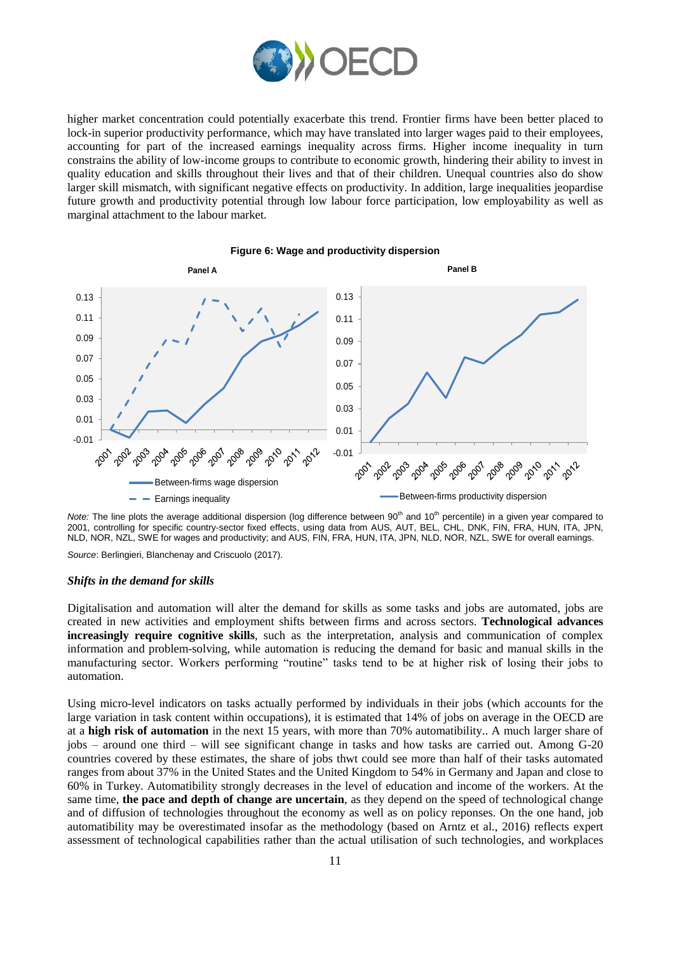

higher market concentration could potentially exacerbate this trend. Frontier firms have been better placed to lock-in superior productivity performance, which may have translated into larger wages paid to their employees, accounting for part of the increased earnings inequality across firms. Higher income inequality in turn constrains the ability of low-income groups to contribute to economic growth, hindering their ability to invest in quality education and skills throughout their lives and that of their children. Unequal countries also do show larger skill mismatch, with significant negative effects on productivity. In addition, large inequalities jeopardise future growth and productivity potential through low labour force participation, low employability as well as marginal attachment to the labour market.



#### **Figure 6: Wage and productivity dispersion**

*Note:* The line plots the average additional dispersion (log difference between 90<sup>th</sup> and 10<sup>th</sup> percentile) in a given year compared to 2001, controlling for specific country-sector fixed effects, using data from AUS, AUT, BEL, CHL, DNK, FIN, FRA, HUN, ITA, JPN, NLD, NOR, NZL, SWE for wages and productivity; and AUS, FIN, FRA, HUN, ITA, JPN, NLD, NOR, NZL, SWE for overall earnings.

*Source*: Berlingieri, Blanchenay and Criscuolo (2017).

#### *Shifts in the demand for skills*

Digitalisation and automation will alter the demand for skills as some tasks and jobs are automated, jobs are created in new activities and employment shifts between firms and across sectors. **Technological advances increasingly require cognitive skills**, such as the interpretation, analysis and communication of complex information and problem-solving, while automation is reducing the demand for basic and manual skills in the manufacturing sector. Workers performing "routine" tasks tend to be at higher risk of losing their jobs to automation.

Using micro-level indicators on tasks actually performed by individuals in their jobs (which accounts for the large variation in task content within occupations), it is estimated that 14% of jobs on average in the OECD are at a **high risk of automation** in the next 15 years, with more than 70% automatibility.. A much larger share of jobs – around one third – will see significant change in tasks and how tasks are carried out. Among G-20 countries covered by these estimates, the share of jobs thwt could see more than half of their tasks automated ranges from about 37% in the United States and the United Kingdom to 54% in Germany and Japan and close to 60% in Turkey. Automatibility strongly decreases in the level of education and income of the workers. At the same time, **the pace and depth of change are uncertain**, as they depend on the speed of technological change and of diffusion of technologies throughout the economy as well as on policy reponses. On the one hand, job automatibility may be overestimated insofar as the methodology (based on Arntz et al., 2016) reflects expert assessment of technological capabilities rather than the actual utilisation of such technologies, and workplaces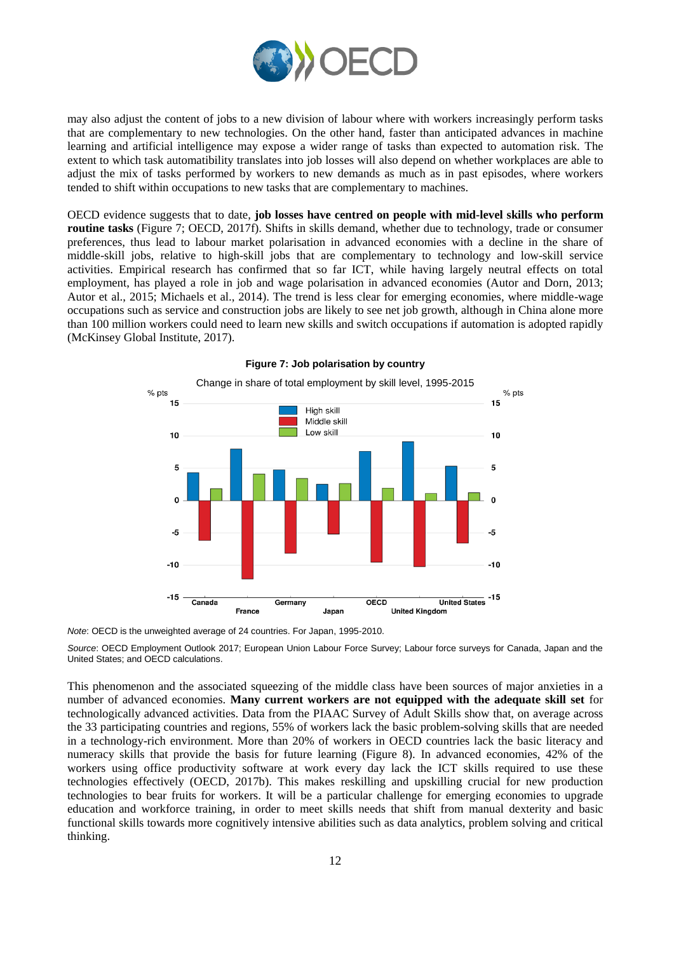

may also adjust the content of jobs to a new division of labour where with workers increasingly perform tasks that are complementary to new technologies. On the other hand, faster than anticipated advances in machine learning and artificial intelligence may expose a wider range of tasks than expected to automation risk. The extent to which task automatibility translates into job losses will also depend on whether workplaces are able to adjust the mix of tasks performed by workers to new demands as much as in past episodes, where workers tended to shift within occupations to new tasks that are complementary to machines.

OECD evidence suggests that to date, **job losses have centred on people with mid-level skills who perform routine tasks** (Figure 7; OECD, 2017f). Shifts in skills demand, whether due to technology, trade or consumer preferences, thus lead to labour market polarisation in advanced economies with a decline in the share of middle-skill jobs, relative to high-skill jobs that are complementary to technology and low-skill service activities. Empirical research has confirmed that so far ICT, while having largely neutral effects on total employment, has played a role in job and wage polarisation in advanced economies (Autor and Dorn, 2013; Autor et al., 2015; Michaels et al., 2014). The trend is less clear for emerging economies, where middle-wage occupations such as service and construction jobs are likely to see net job growth, although in China alone more than 100 million workers could need to learn new skills and switch occupations if automation is adopted rapidly (McKinsey Global Institute, 2017).



#### **Figure 7: Job polarisation by country**

*Note*: OECD is the unweighted average of 24 countries. For Japan, 1995-2010.

*Source*: OECD Employment Outlook 2017; European Union Labour Force Survey; Labour force surveys for Canada, Japan and the United States; and OECD calculations.

This phenomenon and the associated squeezing of the middle class have been sources of major anxieties in a number of advanced economies. **Many current workers are not equipped with the adequate skill set** for technologically advanced activities. Data from the PIAAC Survey of Adult Skills show that, on average across the 33 participating countries and regions, 55% of workers lack the basic problem-solving skills that are needed in a technology-rich environment. More than 20% of workers in OECD countries lack the basic literacy and numeracy skills that provide the basis for future learning (Figure 8). In advanced economies, 42% of the workers using office productivity software at work every day lack the ICT skills required to use these technologies effectively (OECD, 2017b). This makes reskilling and upskilling crucial for new production technologies to bear fruits for workers. It will be a particular challenge for emerging economies to upgrade education and workforce training, in order to meet skills needs that shift from manual dexterity and basic functional skills towards more cognitively intensive abilities such as data analytics, problem solving and critical thinking.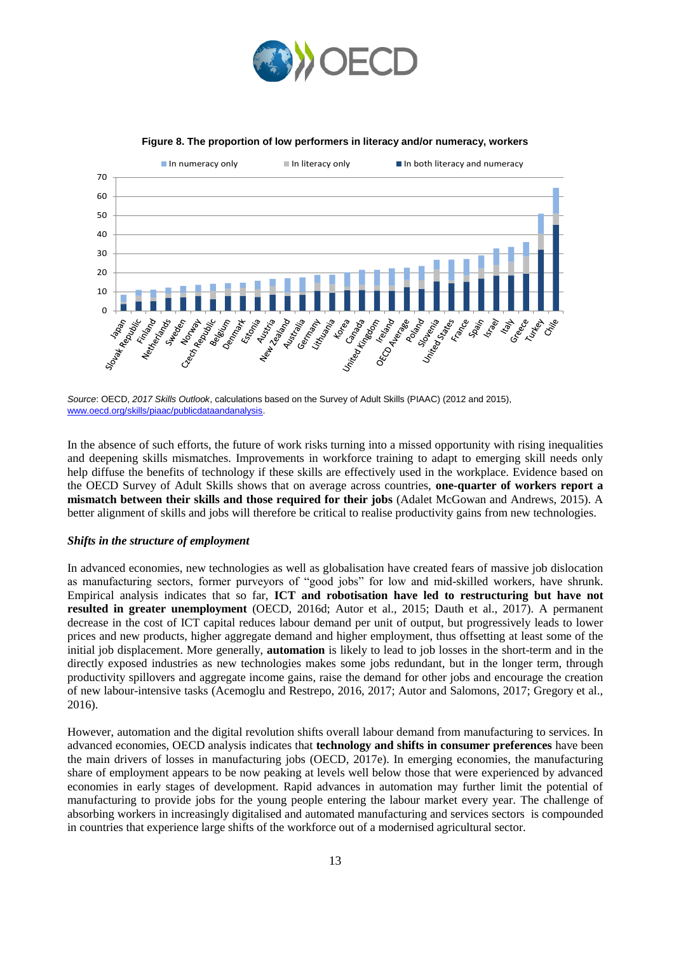



**Figure 8. The proportion of low performers in literacy and/or numeracy, workers**

In the absence of such efforts, the future of work risks turning into a missed opportunity with rising inequalities and deepening skills mismatches. Improvements in workforce training to adapt to emerging skill needs only help diffuse the benefits of technology if these skills are effectively used in the workplace. Evidence based on the OECD Survey of Adult Skills shows that on average across countries, **one-quarter of workers report a mismatch between their skills and those required for their jobs** (Adalet McGowan and Andrews, 2015). A better alignment of skills and jobs will therefore be critical to realise productivity gains from new technologies.

#### *Shifts in the structure of employment*

In advanced economies, new technologies as well as globalisation have created fears of massive job dislocation as manufacturing sectors, former purveyors of "good jobs" for low and mid-skilled workers, have shrunk. Empirical analysis indicates that so far, **ICT and robotisation have led to restructuring but have not resulted in greater unemployment** (OECD, 2016d; Autor et al., 2015; Dauth et al., 2017). A permanent decrease in the cost of ICT capital reduces labour demand per unit of output, but progressively leads to lower prices and new products, higher aggregate demand and higher employment, thus offsetting at least some of the initial job displacement. More generally, **automation** is likely to lead to job losses in the short-term and in the directly exposed industries as new technologies makes some jobs redundant, but in the longer term, through productivity spillovers and aggregate income gains, raise the demand for other jobs and encourage the creation of new labour-intensive tasks (Acemoglu and Restrepo, 2016, 2017; Autor and Salomons, 2017; Gregory et al., 2016).

However, automation and the digital revolution shifts overall labour demand from manufacturing to services. In advanced economies, OECD analysis indicates that **technology and shifts in consumer preferences** have been the main drivers of losses in manufacturing jobs (OECD, 2017e). In emerging economies, the manufacturing share of employment appears to be now peaking at levels well below those that were experienced by advanced economies in early stages of development. Rapid advances in automation may further limit the potential of manufacturing to provide jobs for the young people entering the labour market every year. The challenge of absorbing workers in increasingly digitalised and automated manufacturing and services sectors is compounded in countries that experience large shifts of the workforce out of a modernised agricultural sector.

*Source*: OECD, *2017 Skills Outlook*, calculations based on the Survey of Adult Skills (PIAAC) (2012 and 2015), [www.oecd.org/skills/piaac/publicdataandanalysis.](http://www.oecd.org/skills/piaac/publicdataandanalysis)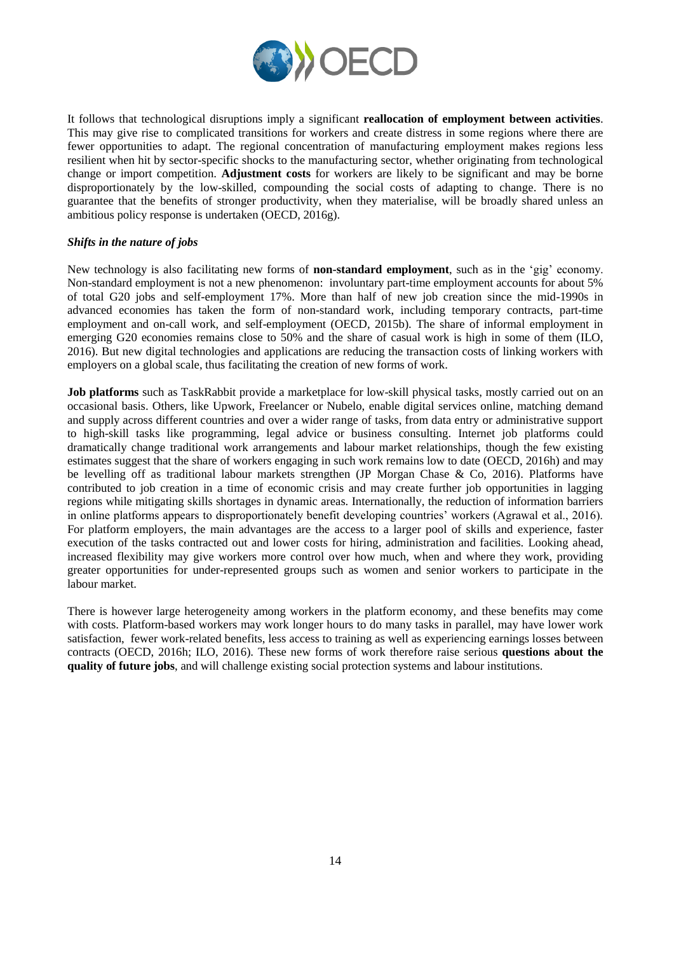

It follows that technological disruptions imply a significant **reallocation of employment between activities**. This may give rise to complicated transitions for workers and create distress in some regions where there are fewer opportunities to adapt. The regional concentration of manufacturing employment makes regions less resilient when hit by sector-specific shocks to the manufacturing sector, whether originating from technological change or import competition. **Adjustment costs** for workers are likely to be significant and may be borne disproportionately by the low-skilled, compounding the social costs of adapting to change. There is no guarantee that the benefits of stronger productivity, when they materialise, will be broadly shared unless an ambitious policy response is undertaken (OECD, 2016g).

## *Shifts in the nature of jobs*

New technology is also facilitating new forms of **non-standard employment**, such as in the 'gig' economy. Non-standard employment is not a new phenomenon: involuntary part-time employment accounts for about 5% of total G20 jobs and self-employment 17%. More than half of new job creation since the mid-1990s in advanced economies has taken the form of non-standard work, including temporary contracts, part-time employment and on-call work, and self-employment (OECD, 2015b). The share of informal employment in emerging G20 economies remains close to 50% and the share of casual work is high in some of them (ILO, 2016). But new digital technologies and applications are reducing the transaction costs of linking workers with employers on a global scale, thus facilitating the creation of new forms of work.

**Job platforms** such as TaskRabbit provide a marketplace for low-skill physical tasks, mostly carried out on an occasional basis. Others, like Upwork, Freelancer or Nubelo, enable digital services online, matching demand and supply across different countries and over a wider range of tasks, from data entry or administrative support to high-skill tasks like programming, legal advice or business consulting. Internet job platforms could dramatically change traditional work arrangements and labour market relationships, though the few existing estimates suggest that the share of workers engaging in such work remains low to date (OECD, 2016h) and may be levelling off as traditional labour markets strengthen (JP Morgan Chase & Co, 2016). Platforms have contributed to job creation in a time of economic crisis and may create further job opportunities in lagging regions while mitigating skills shortages in dynamic areas. Internationally, the reduction of information barriers in online platforms appears to disproportionately benefit developing countries' workers (Agrawal et al., 2016). For platform employers, the main advantages are the access to a larger pool of skills and experience, faster execution of the tasks contracted out and lower costs for hiring, administration and facilities. Looking ahead, increased flexibility may give workers more control over how much, when and where they work, providing greater opportunities for under-represented groups such as women and senior workers to participate in the labour market.

There is however large heterogeneity among workers in the platform economy, and these benefits may come with costs. Platform-based workers may work longer hours to do many tasks in parallel, may have lower work satisfaction, fewer work-related benefits, less access to training as well as experiencing earnings losses between contracts (OECD, 2016h; ILO, 2016). These new forms of work therefore raise serious **questions about the quality of future jobs**, and will challenge existing social protection systems and labour institutions.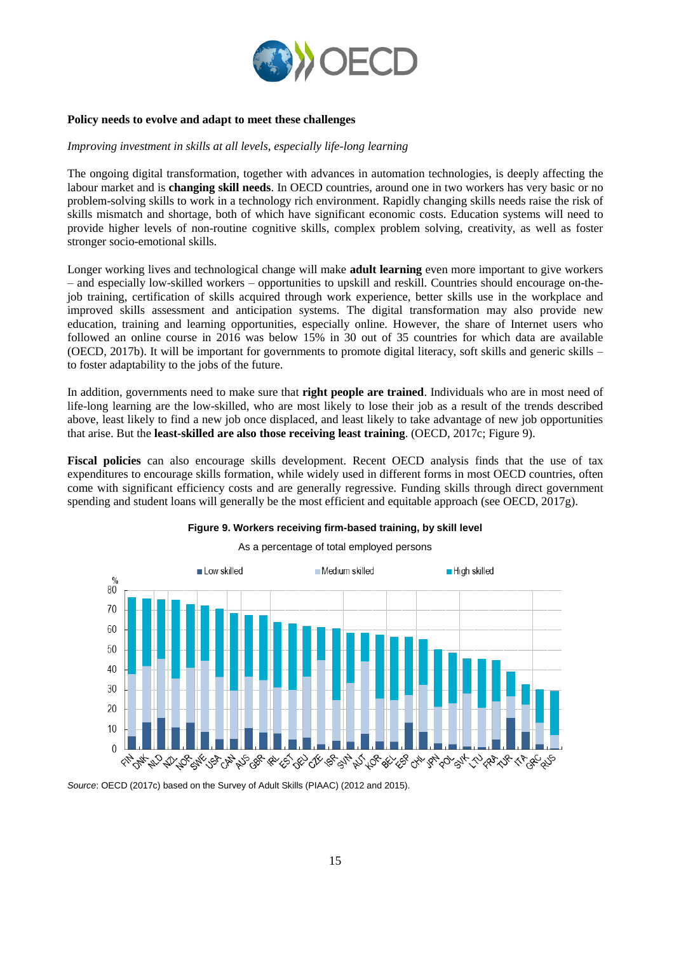

## **Policy needs to evolve and adapt to meet these challenges**

#### *Improving investment in skills at all levels, especially life-long learning*

The ongoing digital transformation, together with advances in automation technologies, is deeply affecting the labour market and is **changing skill needs**. In OECD countries, around one in two workers has very basic or no problem-solving skills to work in a technology rich environment. Rapidly changing skills needs raise the risk of skills mismatch and shortage, both of which have significant economic costs. Education systems will need to provide higher levels of non-routine cognitive skills, complex problem solving, creativity, as well as foster stronger socio-emotional skills.

Longer working lives and technological change will make **adult learning** even more important to give workers – and especially low-skilled workers – opportunities to upskill and reskill. Countries should encourage on-thejob training, certification of skills acquired through work experience, better skills use in the workplace and improved skills assessment and anticipation systems. The digital transformation may also provide new education, training and learning opportunities, especially online. However, the share of Internet users who followed an online course in 2016 was below 15% in 30 out of 35 countries for which data are available (OECD, 2017b). It will be important for governments to promote digital literacy, soft skills and generic skills – to foster adaptability to the jobs of the future.

In addition, governments need to make sure that **right people are trained**. Individuals who are in most need of life-long learning are the low-skilled, who are most likely to lose their job as a result of the trends described above, least likely to find a new job once displaced, and least likely to take advantage of new job opportunities that arise. But the **least-skilled are also those receiving least training**. (OECD, 2017c; Figure 9).

**Fiscal policies** can also encourage skills development. Recent OECD analysis finds that the use of tax expenditures to encourage skills formation, while widely used in different forms in most OECD countries, often come with significant efficiency costs and are generally regressive. Funding skills through direct government spending and student loans will generally be the most efficient and equitable approach (see OECD, 2017g).



# **Figure 9. Workers receiving firm-based training, by skill level**

*Source*: OECD (2017c) based on the Survey of Adult Skills (PIAAC) (2012 and 2015).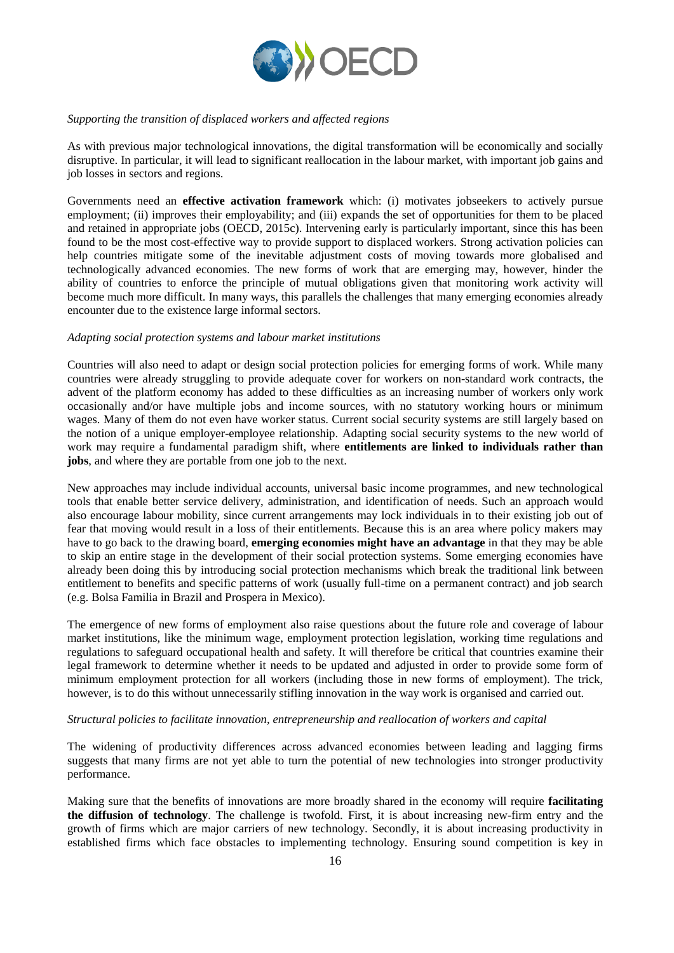

## *Supporting the transition of displaced workers and affected regions*

As with previous major technological innovations, the digital transformation will be economically and socially disruptive. In particular, it will lead to significant reallocation in the labour market, with important job gains and job losses in sectors and regions.

Governments need an **effective activation framework** which: (i) motivates jobseekers to actively pursue employment; (ii) improves their employability; and (iii) expands the set of opportunities for them to be placed and retained in appropriate jobs (OECD, 2015c). Intervening early is particularly important, since this has been found to be the most cost-effective way to provide support to displaced workers. Strong activation policies can help countries mitigate some of the inevitable adjustment costs of moving towards more globalised and technologically advanced economies. The new forms of work that are emerging may, however, hinder the ability of countries to enforce the principle of mutual obligations given that monitoring work activity will become much more difficult. In many ways, this parallels the challenges that many emerging economies already encounter due to the existence large informal sectors.

#### *Adapting social protection systems and labour market institutions*

Countries will also need to adapt or design social protection policies for emerging forms of work. While many countries were already struggling to provide adequate cover for workers on non-standard work contracts, the advent of the platform economy has added to these difficulties as an increasing number of workers only work occasionally and/or have multiple jobs and income sources, with no statutory working hours or minimum wages. Many of them do not even have worker status. Current social security systems are still largely based on the notion of a unique employer-employee relationship. Adapting social security systems to the new world of work may require a fundamental paradigm shift, where **entitlements are linked to individuals rather than jobs**, and where they are portable from one job to the next.

New approaches may include individual accounts, universal basic income programmes, and new technological tools that enable better service delivery, administration, and identification of needs. Such an approach would also encourage labour mobility, since current arrangements may lock individuals in to their existing job out of fear that moving would result in a loss of their entitlements. Because this is an area where policy makers may have to go back to the drawing board, **emerging economies might have an advantage** in that they may be able to skip an entire stage in the development of their social protection systems. Some emerging economies have already been doing this by introducing social protection mechanisms which break the traditional link between entitlement to benefits and specific patterns of work (usually full-time on a permanent contract) and job search (e.g. Bolsa Familia in Brazil and Prospera in Mexico).

The emergence of new forms of employment also raise questions about the future role and coverage of labour market institutions, like the minimum wage, employment protection legislation, working time regulations and regulations to safeguard occupational health and safety. It will therefore be critical that countries examine their legal framework to determine whether it needs to be updated and adjusted in order to provide some form of minimum employment protection for all workers (including those in new forms of employment). The trick, however, is to do this without unnecessarily stifling innovation in the way work is organised and carried out.

#### *Structural policies to facilitate innovation, entrepreneurship and reallocation of workers and capital*

The widening of productivity differences across advanced economies between leading and lagging firms suggests that many firms are not yet able to turn the potential of new technologies into stronger productivity performance.

Making sure that the benefits of innovations are more broadly shared in the economy will require **facilitating the diffusion of technology**. The challenge is twofold. First, it is about increasing new-firm entry and the growth of firms which are major carriers of new technology. Secondly, it is about increasing productivity in established firms which face obstacles to implementing technology. Ensuring sound competition is key in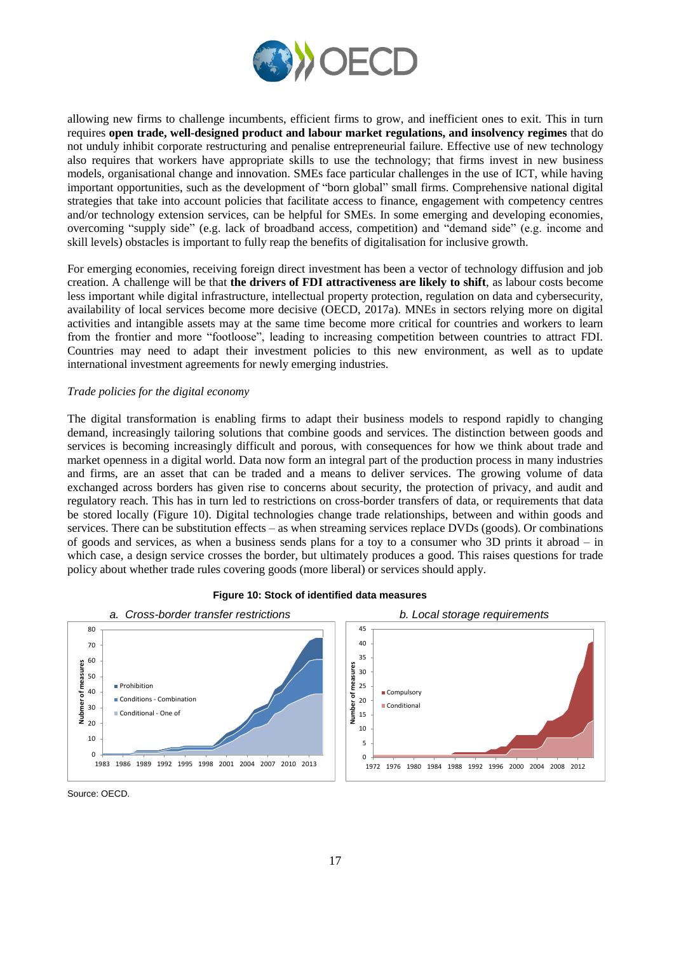

allowing new firms to challenge incumbents, efficient firms to grow, and inefficient ones to exit. This in turn requires **open trade, well-designed product and labour market regulations, and insolvency regimes** that do not unduly inhibit corporate restructuring and penalise entrepreneurial failure. Effective use of new technology also requires that workers have appropriate skills to use the technology; that firms invest in new business models, organisational change and innovation. SMEs face particular challenges in the use of ICT, while having important opportunities, such as the development of "born global" small firms. Comprehensive national digital strategies that take into account policies that facilitate access to finance, engagement with competency centres and/or technology extension services, can be helpful for SMEs. In some emerging and developing economies, overcoming "supply side" (e.g. lack of broadband access, competition) and "demand side" (e.g. income and skill levels) obstacles is important to fully reap the benefits of digitalisation for inclusive growth.

For emerging economies, receiving foreign direct investment has been a vector of technology diffusion and job creation. A challenge will be that **the drivers of FDI attractiveness are likely to shift**, as labour costs become less important while digital infrastructure, intellectual property protection, regulation on data and cybersecurity, availability of local services become more decisive (OECD, 2017a). MNEs in sectors relying more on digital activities and intangible assets may at the same time become more critical for countries and workers to learn from the frontier and more "footloose", leading to increasing competition between countries to attract FDI. Countries may need to adapt their investment policies to this new environment, as well as to update international investment agreements for newly emerging industries.

## *Trade policies for the digital economy*

The digital transformation is enabling firms to adapt their business models to respond rapidly to changing demand, increasingly tailoring solutions that combine goods and services. The distinction between goods and services is becoming increasingly difficult and porous, with consequences for how we think about trade and market openness in a digital world. Data now form an integral part of the production process in many industries and firms, are an asset that can be traded and a means to deliver services. The growing volume of data exchanged across borders has given rise to concerns about security, the protection of privacy, and audit and regulatory reach. This has in turn led to restrictions on cross-border transfers of data, or requirements that data be stored locally (Figure 10). Digital technologies change trade relationships, between and within goods and services. There can be substitution effects – as when streaming services replace DVDs (goods). Or combinations of goods and services, as when a business sends plans for a toy to a consumer who 3D prints it abroad – in which case, a design service crosses the border, but ultimately produces a good. This raises questions for trade policy about whether trade rules covering goods (more liberal) or services should apply.



**Figure 10: Stock of identified data measures**

Source: OECD.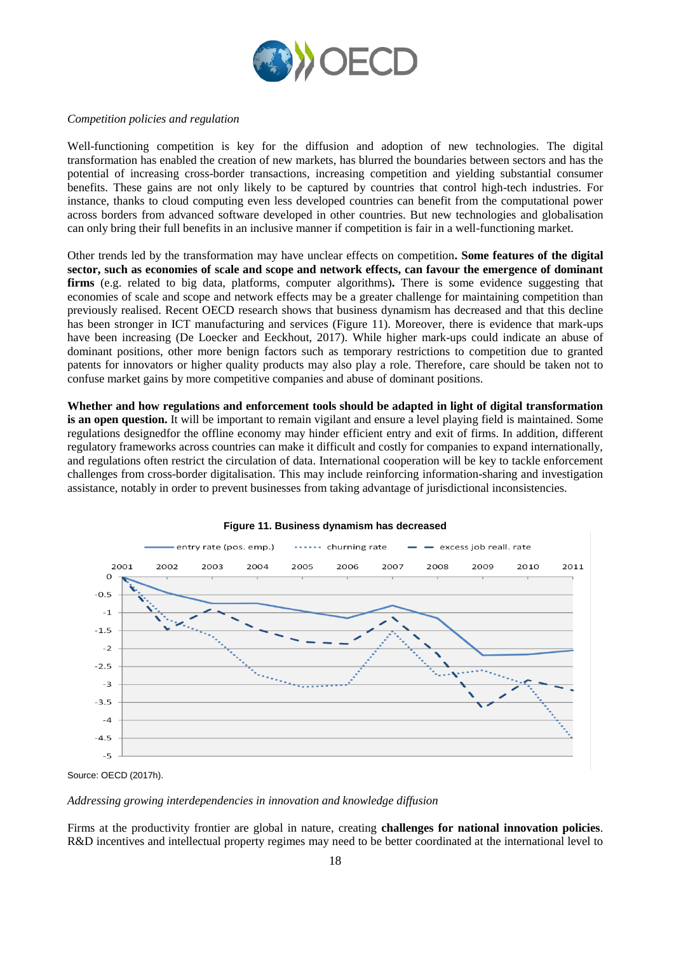

## *Competition policies and regulation*

Well-functioning competition is key for the diffusion and adoption of new technologies. The digital transformation has enabled the creation of new markets, has blurred the boundaries between sectors and has the potential of increasing cross-border transactions, increasing competition and yielding substantial consumer benefits. These gains are not only likely to be captured by countries that control high-tech industries. For instance, thanks to cloud computing even less developed countries can benefit from the computational power across borders from advanced software developed in other countries. But new technologies and globalisation can only bring their full benefits in an inclusive manner if competition is fair in a well-functioning market.

Other trends led by the transformation may have unclear effects on competition**. Some features of the digital sector, such as economies of scale and scope and network effects, can favour the emergence of dominant firms** (e.g. related to big data, platforms, computer algorithms)**.** There is some evidence suggesting that economies of scale and scope and network effects may be a greater challenge for maintaining competition than previously realised. Recent OECD research shows that business dynamism has decreased and that this decline has been stronger in ICT manufacturing and services (Figure 11). Moreover, there is evidence that mark-ups have been increasing (De Loecker and Eeckhout, 2017). While higher mark-ups could indicate an abuse of dominant positions, other more benign factors such as temporary restrictions to competition due to granted patents for innovators or higher quality products may also play a role. Therefore, care should be taken not to confuse market gains by more competitive companies and abuse of dominant positions.

**Whether and how regulations and enforcement tools should be adapted in light of digital transformation is an open question.** It will be important to remain vigilant and ensure a level playing field is maintained. Some regulations designedfor the offline economy may hinder efficient entry and exit of firms. In addition, different regulatory frameworks across countries can make it difficult and costly for companies to expand internationally, and regulations often restrict the circulation of data. International cooperation will be key to tackle enforcement challenges from cross-border digitalisation. This may include reinforcing information-sharing and investigation assistance, notably in order to prevent businesses from taking advantage of jurisdictional inconsistencies.



## **Figure 11. Business dynamism has decreased**

Source: OECD (2017h).

*Addressing growing interdependencies in innovation and knowledge diffusion*

Firms at the productivity frontier are global in nature, creating **challenges for national innovation policies**. R&D incentives and intellectual property regimes may need to be better coordinated at the international level to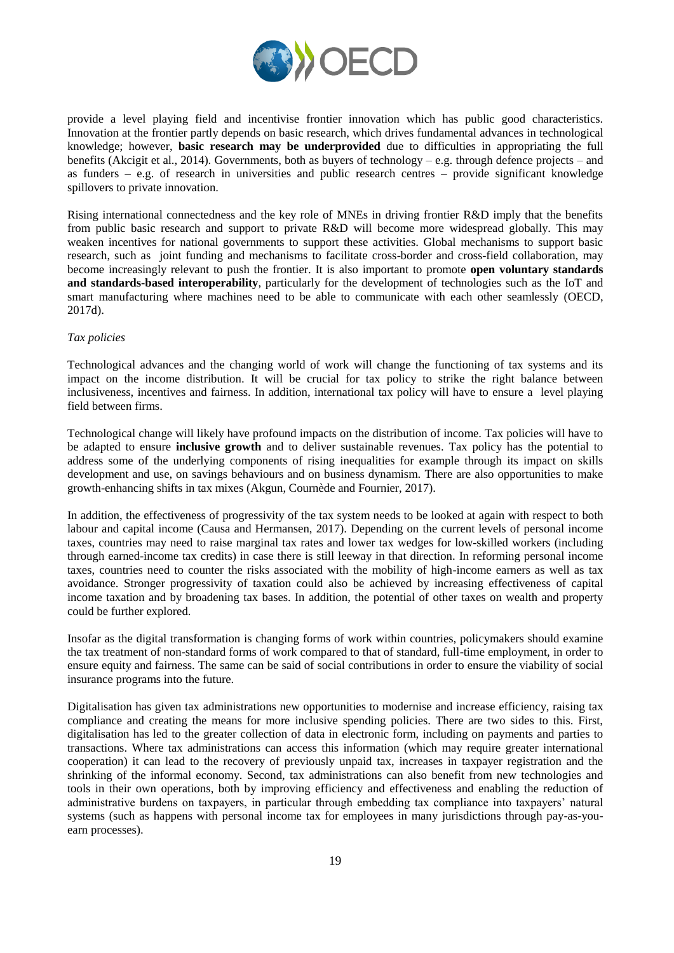

provide a level playing field and incentivise frontier innovation which has public good characteristics. Innovation at the frontier partly depends on basic research, which drives fundamental advances in technological knowledge; however, **basic research may be underprovided** due to difficulties in appropriating the full benefits (Akcigit et al., 2014). Governments, both as buyers of technology – e.g. through defence projects – and as funders – e.g. of research in universities and public research centres – provide significant knowledge spillovers to private innovation.

Rising international connectedness and the key role of MNEs in driving frontier R&D imply that the benefits from public basic research and support to private R&D will become more widespread globally. This may weaken incentives for national governments to support these activities. Global mechanisms to support basic research, such as joint funding and mechanisms to facilitate cross-border and cross-field collaboration, may become increasingly relevant to push the frontier. It is also important to promote **open voluntary standards and standards-based interoperability**, particularly for the development of technologies such as the IoT and smart manufacturing where machines need to be able to communicate with each other seamlessly (OECD, 2017d).

## *Tax policies*

Technological advances and the changing world of work will change the functioning of tax systems and its impact on the income distribution. It will be crucial for tax policy to strike the right balance between inclusiveness, incentives and fairness. In addition, international tax policy will have to ensure a level playing field between firms.

Technological change will likely have profound impacts on the distribution of income. Tax policies will have to be adapted to ensure **inclusive growth** and to deliver sustainable revenues. Tax policy has the potential to address some of the underlying components of rising inequalities for example through its impact on skills development and use, on savings behaviours and on business dynamism. There are also opportunities to make growth-enhancing shifts in tax mixes (Akgun, Cournède and Fournier, 2017).

In addition, the effectiveness of progressivity of the tax system needs to be looked at again with respect to both labour and capital income (Causa and Hermansen, 2017). Depending on the current levels of personal income taxes, countries may need to raise marginal tax rates and lower tax wedges for low-skilled workers (including through earned-income tax credits) in case there is still leeway in that direction. In reforming personal income taxes, countries need to counter the risks associated with the mobility of high-income earners as well as tax avoidance. Stronger progressivity of taxation could also be achieved by increasing effectiveness of capital income taxation and by broadening tax bases. In addition, the potential of other taxes on wealth and property could be further explored.

Insofar as the digital transformation is changing forms of work within countries, policymakers should examine the tax treatment of non-standard forms of work compared to that of standard, full-time employment, in order to ensure equity and fairness. The same can be said of social contributions in order to ensure the viability of social insurance programs into the future.

Digitalisation has given tax administrations new opportunities to modernise and increase efficiency, raising tax compliance and creating the means for more inclusive spending policies. There are two sides to this. First, digitalisation has led to the greater collection of data in electronic form, including on payments and parties to transactions. Where tax administrations can access this information (which may require greater international cooperation) it can lead to the recovery of previously unpaid tax, increases in taxpayer registration and the shrinking of the informal economy. Second, tax administrations can also benefit from new technologies and tools in their own operations, both by improving efficiency and effectiveness and enabling the reduction of administrative burdens on taxpayers, in particular through embedding tax compliance into taxpayers' natural systems (such as happens with personal income tax for employees in many jurisdictions through pay-as-youearn processes).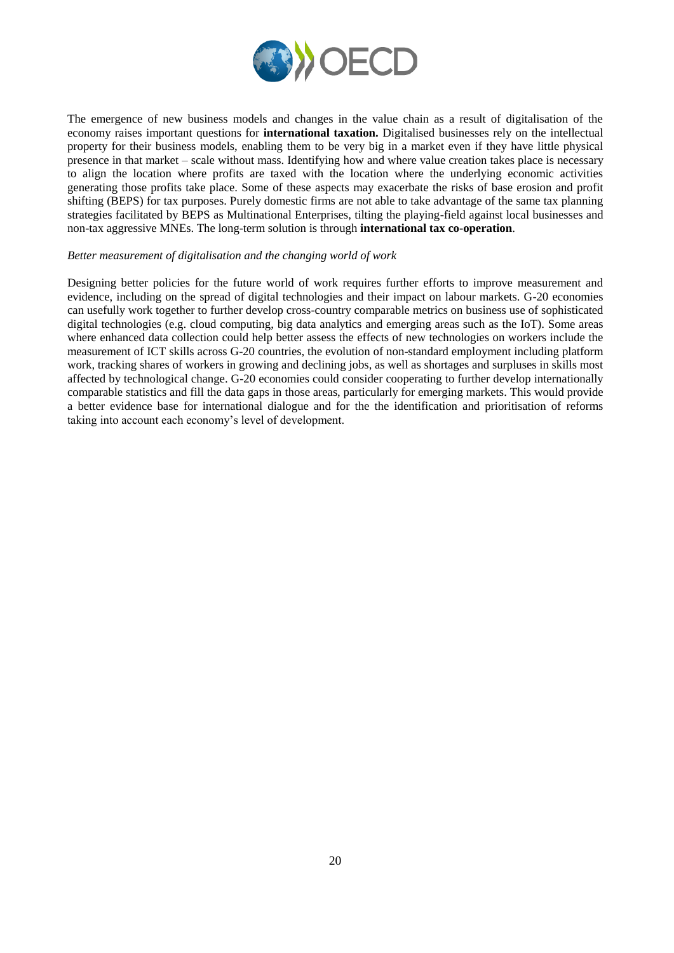

The emergence of new business models and changes in the value chain as a result of digitalisation of the economy raises important questions for **international taxation.** Digitalised businesses rely on the intellectual property for their business models, enabling them to be very big in a market even if they have little physical presence in that market – scale without mass. Identifying how and where value creation takes place is necessary to align the location where profits are taxed with the location where the underlying economic activities generating those profits take place. Some of these aspects may exacerbate the risks of base erosion and profit shifting (BEPS) for tax purposes. Purely domestic firms are not able to take advantage of the same tax planning strategies facilitated by BEPS as Multinational Enterprises, tilting the playing-field against local businesses and non-tax aggressive MNEs. The long-term solution is through **international tax co-operation**.

#### *Better measurement of digitalisation and the changing world of work*

Designing better policies for the future world of work requires further efforts to improve measurement and evidence, including on the spread of digital technologies and their impact on labour markets. G-20 economies can usefully work together to further develop cross-country comparable metrics on business use of sophisticated digital technologies (e.g. cloud computing, big data analytics and emerging areas such as the IoT). Some areas where enhanced data collection could help better assess the effects of new technologies on workers include the measurement of ICT skills across G-20 countries, the evolution of non-standard employment including platform work, tracking shares of workers in growing and declining jobs, as well as shortages and surpluses in skills most affected by technological change. G-20 economies could consider cooperating to further develop internationally comparable statistics and fill the data gaps in those areas, particularly for emerging markets. This would provide a better evidence base for international dialogue and for the the identification and prioritisation of reforms taking into account each economy's level of development.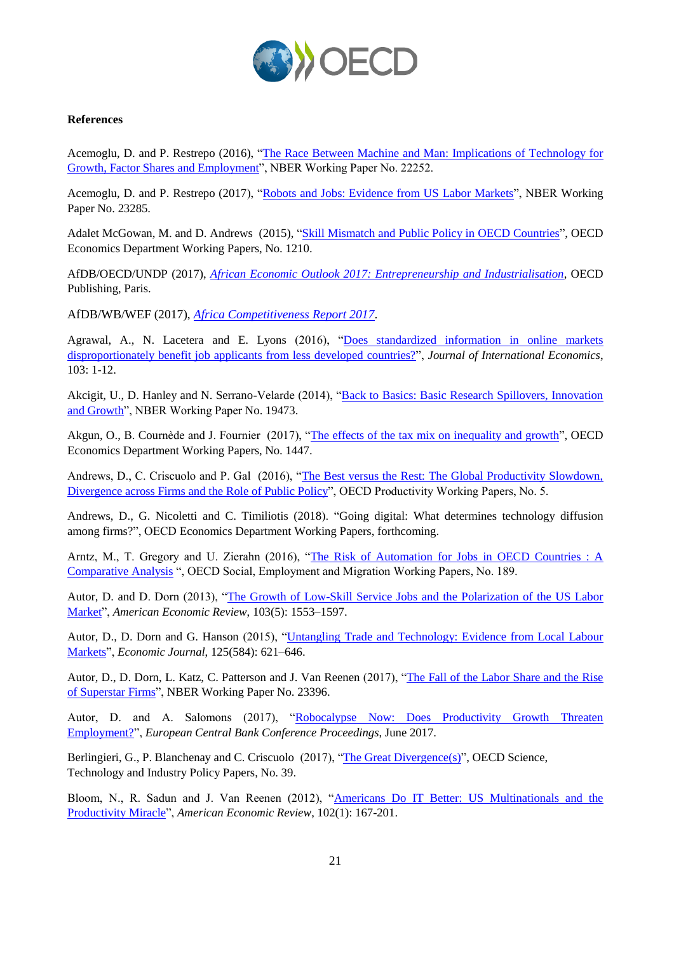

## **References**

Acemoglu, D. and P. Restrepo (2016), ["The Race Between Machine and Man: Implications of Technology for](http://www.nber.org/papers/w22252)  [Growth, Factor Shares and Employment"](http://www.nber.org/papers/w22252), NBER Working Paper No. 22252.

Acemoglu, D. and P. Restrepo (2017), ["Robots and Jobs: Evidence from US Labor Markets"](http://www.nber.org/papers/w23285.pdf), NBER Working Paper No. 23285.

Adalet McGowan, M. and D. Andrews (2015), ["Skill Mismatch and Public Policy in OECD Countries"](http://dx.doi.org/10.1787/5js1pzw9lnwk-en), OECD Economics Department Working Papers, No. 1210.

AfDB/OECD/UNDP (2017), *[African Economic Outlook 2017: Entrepreneurship and Industrialisation](http://dx.doi.org/10.1787/aeo-2017-en)*, OECD Publishing, Paris.

AfDB/WB/WEF (2017), *[Africa Competitiveness Report 2017](https://www.weforum.org/reports/africa-competitiveness-report-2017)*.

Agrawal, A., N. Lacetera and E. Lyons (2016), ["Does standardized information in online markets](https://doi.org/10.1016/j.jinteco.2016.08.003)  [disproportionately benefit job applicants from less developed countries?"](https://doi.org/10.1016/j.jinteco.2016.08.003), *Journal of International Economics*, 103: 1-12.

Akcigit, U., D. Hanley and N. Serrano-Velarde (2014), "Back to Basics: Basic Research Spillovers, Innovation [and Growth"](http://www.nber.org/papers/w19473), NBER Working Paper No. 19473.

Akgun, O., B. Cournède and J. Fournier (2017), ["The effects of the tax mix on inequality and growth"](http://dx.doi.org/10.1787/c57eaa14-en), OECD Economics Department Working Papers, No. 1447.

Andrews, D., C. Criscuolo and P. Gal (2016), ["The Best versus the Rest: The Global Productivity Slowdown,](http://dx.doi.org/10.1787/63629cc9-en)  [Divergence across Firms and the Role of Public Policy"](http://dx.doi.org/10.1787/63629cc9-en), OECD Productivity Working Papers, No. 5.

Andrews, D., G. Nicoletti and C. Timiliotis (2018). "Going digital: What determines technology diffusion among firms?", OECD Economics Department Working Papers, forthcoming.

Arntz, M., T. Gregory and U. Zierahn (2016), ["The Risk of Automation for Jobs in OECD Countries : A](http://dx.doi.org/10.1787/5jlz9h56dvq7-en)  [Comparative Analysis](http://dx.doi.org/10.1787/5jlz9h56dvq7-en) ", OECD Social, Employment and Migration Working Papers, No. 189.

Autor, D. and D. Dorn (2013), "The Growth of Low-Skill Service Jobs and the Polarization of the US Labor [Market"](http://dx.doi.org/10.1257/aer.103.5.1553), *American Economic Review*, 103(5): 1553–1597.

Autor, D., D. Dorn and G. Hanson (2015), "Untangling Trade and Technology: Evidence from Local Labour [Markets"](http://onlinelibrary.wiley.com/wol1/doi/10.1111/ecoj.12245/abstract), *Economic Journal*, 125(584): 621–646.

Autor, D., D. Dorn, L. Katz, C. Patterson and J. Van Reenen (2017), "The Fall of the Labor Share and the Rise [of Superstar Firms"](http://www.nber.org/papers/w23396), NBER Working Paper No. 23396.

Autor, D. and A. Salomons (2017), ["Robocalypse Now: Does Productivity Growth Threaten](https://www.ecbforum.eu/uploads/originals/2017/speakers/Speech/D_Autor_A_Salomons_Does_productivity_growth_threaten_employment_Final_Draft_20170619.pdf)  [Employment?"](https://www.ecbforum.eu/uploads/originals/2017/speakers/Speech/D_Autor_A_Salomons_Does_productivity_growth_threaten_employment_Final_Draft_20170619.pdf), *European Central Bank Conference Proceedings*, June 2017.

Berlingieri, G., P. Blanchenay and C. Criscuolo (2017), ["The Great Divergence\(s\)"](http://dx.doi.org/10.1787/953f3853-en), OECD Science, Technology and Industry Policy Papers, No. 39.

Bloom, N., R. Sadun and J. Van Reenen (2012), ["Americans Do IT Better: US Multinationals and the](https://www.aeaweb.org/articles?id=10.1257/aer.102.1.167)  [Productivity Miracle"](https://www.aeaweb.org/articles?id=10.1257/aer.102.1.167), *American Economic Review*, 102(1): 167-201.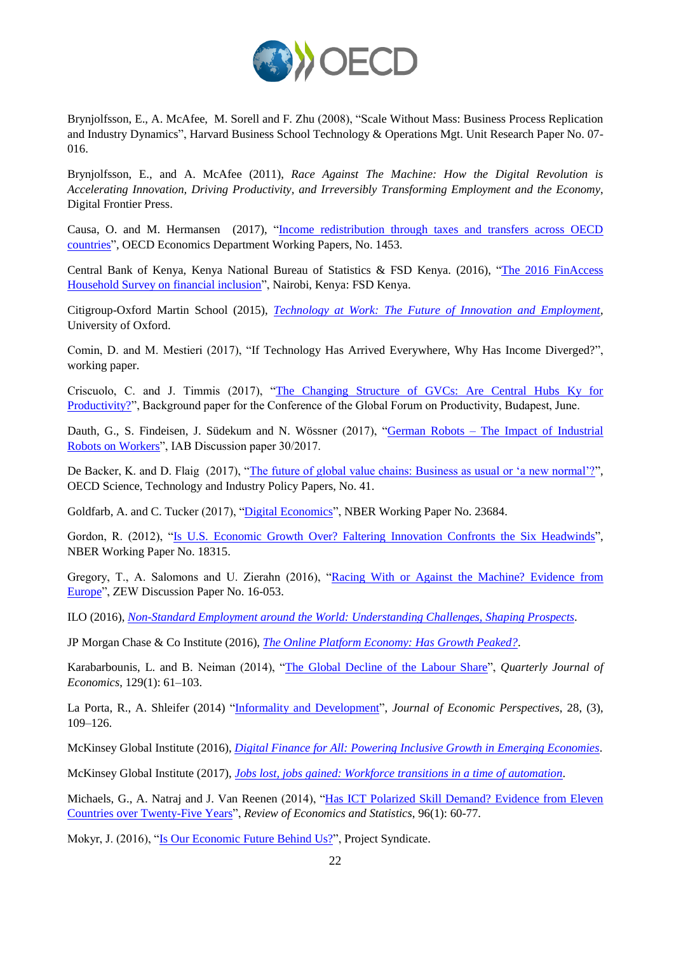

Brynjolfsson, E., A. McAfee, M. Sorell and F. Zhu (2008), "Scale Without Mass: Business Process Replication and Industry Dynamics", Harvard Business School Technology & Operations Mgt. Unit Research Paper No. 07- 016.

Brynjolfsson, E., and A. McAfee (2011), *Race Against The Machine: How the Digital Revolution is Accelerating Innovation, Driving Productivity, and Irreversibly Transforming Employment and the Economy*, Digital Frontier Press.

Causa, O. and M. Hermansen (2017), ["Income redistribution through taxes and transfers across OECD](http://dx.doi.org/10.1787/bc7569c6-en)  [countries"](http://dx.doi.org/10.1787/bc7569c6-en), OECD Economics Department Working Papers, No. 1453.

Central Bank of Kenya, Kenya National Bureau of Statistics & FSD Kenya. (2016), ["The 2016 FinAccess](http://fsdkenya.org/publication/finaccess2016/)  [Household Survey on financial inclusion"](http://fsdkenya.org/publication/finaccess2016/), Nairobi, Kenya: FSD Kenya.

Citigroup-Oxford Martin School (2015), *[Technology at Work: The Future of Innovation and Employment](http://www.oxfordmartin.ox.ac.uk/publications/view/1883)*, University of Oxford.

Comin, D. and M. Mestieri (2017), "If Technology Has Arrived Everywhere, Why Has Income Diverged?", working paper.

Criscuolo, C. and J. Timmis (2017), ["The Changing Structure of GVCs: Are Central Hubs Ky for](https://www.oecd.org/global-forum-productivity/events/Changing_structure_of_gvcs.pdf)  [Productivity?"](https://www.oecd.org/global-forum-productivity/events/Changing_structure_of_gvcs.pdf), Background paper for the Conference of the Global Forum on Productivity, Budapest, June.

Dauth, G., S. Findeisen, J. Südekum and N. Wössner (2017), "German Robots – [The Impact of Industrial](http://doku.iab.de/discussionpapers/2017/dp3017.pdf)  [Robots on Workers"](http://doku.iab.de/discussionpapers/2017/dp3017.pdf), IAB Discussion paper 30/2017.

De Backer, K. and D. Flaig (2017), ["The future of global value chains: Business as usual or 'a new normal'?"](http://dx.doi.org/10.1787/d8da8760-en), OECD Science, Technology and Industry Policy Papers, No. 41.

Goldfarb, A. and C. Tucker (2017), ["Digital Economics"](http://www.nber.org/papers/w23684), NBER Working Paper No. 23684.

Gordon, R. (2012), "Is U.S. [Economic Growth Over? Faltering Innovation Confronts the Six Headwinds"](http://www.nber.org/papers/w18315.pdf), NBER Working Paper No. 18315.

Gregory, T., A. Salomons and U. Zierahn (2016), ["Racing With or Against the Machine? Evidence from](http://ftp.zew.de/pub/zew-docs/dp/dp16053.pdf)  [Europe"](http://ftp.zew.de/pub/zew-docs/dp/dp16053.pdf), ZEW Discussion Paper No. 16-053.

ILO (2016), *[Non-Standard Employment around the World: Understanding Challenges,](http://www.ilo.org/wcmsp5/groups/public/---dgreports/---dcomm/---publ/documents/publication/wcms_534326.pdf) Shaping Prospects*.

JP Morgan Chase & Co Institute (2016), *[The Online Platform Economy: Has Growth Peaked?](https://www.jpmorganchase.com/corporate/institute/document/jpmc-institute-online-platform-econ-brief.pdf)*.

Karabarbounis, L. and B. Neiman (2014), ["The Global Decline of the Labour Share"](https://academic.oup.com/qje/article/129/1/61/1899422), *Quarterly Journal of Economics*, 129(1): 61–103.

La Porta, R., A. Shleifer (2014) ["Informality and Development"](http://pubs.aeaweb.org/doi/pdfplus/10.1257/jep.28.3.109), *Journal of Economic Perspectives*, 28, (3), 109–126.

McKinsey Global Institute (2016), *[Digital Finance for All: Powering Inclusive Growth in Emerging Economies](https://www.mckinsey.com/global-themes/employment-and-growth/how-digital-finance-could-boost-growth-in-emerging-economies)*.

McKinsey Global Institute (2017), *[Jobs lost, jobs gained: Workforce transitions in a time of automation](https://www.mckinsey.com/global-themes/future-of-organizations-and-work/what-the-future-of-work-will-mean-for-jobs-skills-and-wages)*.

Michaels, G., A. Natraj and J. Van Reenen (2014), ["Has ICT Polarized Skill Demand? Evidence from Eleven](https://doi.org/10.1162/REST_a_00366)  [Countries over Twenty-Five Years"](https://doi.org/10.1162/REST_a_00366), *Review of Economics and Statistics*, 96(1): 60-77.

Mokyr, J. (2016), ["Is Our Economic Future Behind Us?"](https://www.project-syndicate.org/commentary/technology-and-economic-growth-by-joel-mokyr-2016-11), Project Syndicate.